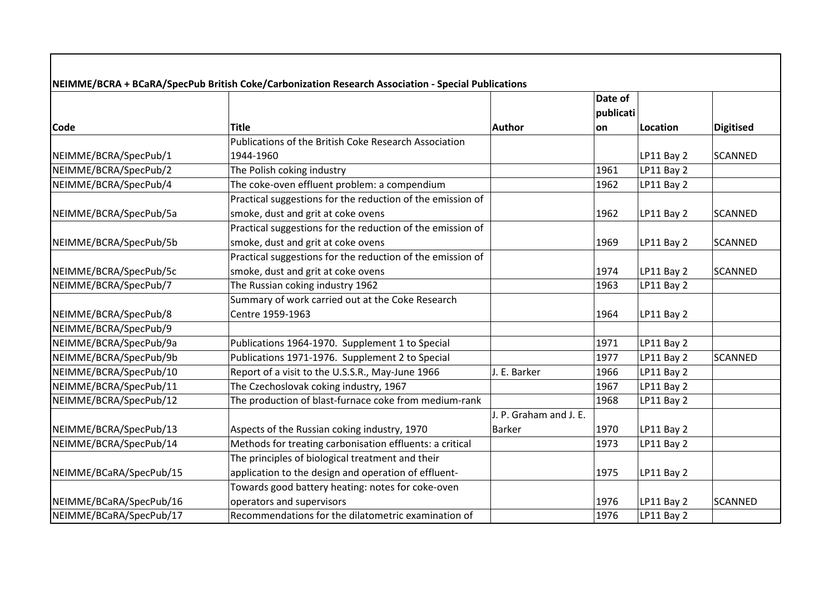|                         |                                                            |                        | Date of<br>publicati |                   |                  |
|-------------------------|------------------------------------------------------------|------------------------|----------------------|-------------------|------------------|
| <b>Code</b>             | <b>Title</b>                                               | Author                 | on                   | Location          | <b>Digitised</b> |
|                         | Publications of the British Coke Research Association      |                        |                      |                   |                  |
| NEIMME/BCRA/SpecPub/1   | 1944-1960                                                  |                        |                      | LP11 Bay 2        | SCANNED          |
| NEIMME/BCRA/SpecPub/2   | The Polish coking industry                                 |                        | 1961                 | LP11 Bay 2        |                  |
| NEIMME/BCRA/SpecPub/4   | The coke-oven effluent problem: a compendium               |                        | 1962                 | LP11 Bay 2        |                  |
|                         | Practical suggestions for the reduction of the emission of |                        |                      |                   |                  |
| NEIMME/BCRA/SpecPub/5a  | smoke, dust and grit at coke ovens                         |                        | 1962                 | LP11 Bay 2        | SCANNED          |
|                         | Practical suggestions for the reduction of the emission of |                        |                      |                   |                  |
| NEIMME/BCRA/SpecPub/5b  | smoke, dust and grit at coke ovens                         |                        | 1969                 | <b>LP11 Bay 2</b> | SCANNED          |
|                         | Practical suggestions for the reduction of the emission of |                        |                      |                   |                  |
| NEIMME/BCRA/SpecPub/5c  | smoke, dust and grit at coke ovens                         |                        | 1974                 | LP11 Bay 2        | SCANNED          |
| NEIMME/BCRA/SpecPub/7   | The Russian coking industry 1962                           |                        | 1963                 | LP11 Bay 2        |                  |
|                         | Summary of work carried out at the Coke Research           |                        |                      |                   |                  |
| NEIMME/BCRA/SpecPub/8   | Centre 1959-1963                                           |                        | 1964                 | LP11 Bay 2        |                  |
| NEIMME/BCRA/SpecPub/9   |                                                            |                        |                      |                   |                  |
| NEIMME/BCRA/SpecPub/9a  | Publications 1964-1970. Supplement 1 to Special            |                        | 1971                 | LP11 Bay 2        |                  |
| NEIMME/BCRA/SpecPub/9b  | Publications 1971-1976. Supplement 2 to Special            |                        | 1977                 | LP11 Bay 2        | <b>SCANNED</b>   |
| NEIMME/BCRA/SpecPub/10  | Report of a visit to the U.S.S.R., May-June 1966           | J. E. Barker           | 1966                 | LP11 Bay 2        |                  |
| NEIMME/BCRA/SpecPub/11  | The Czechoslovak coking industry, 1967                     |                        | 1967                 | LP11 Bay 2        |                  |
| NEIMME/BCRA/SpecPub/12  | The production of blast-furnace coke from medium-rank      |                        | 1968                 | LP11 Bay 2        |                  |
|                         |                                                            | J. P. Graham and J. E. |                      |                   |                  |
| NEIMME/BCRA/SpecPub/13  | Aspects of the Russian coking industry, 1970               | <b>Barker</b>          | 1970                 | <b>LP11 Bay 2</b> |                  |
| NEIMME/BCRA/SpecPub/14  | Methods for treating carbonisation effluents: a critical   |                        | 1973                 | LP11 Bay 2        |                  |
|                         | The principles of biological treatment and their           |                        |                      |                   |                  |
| NEIMME/BCaRA/SpecPub/15 | application to the design and operation of effluent-       |                        | 1975                 | LP11 Bay 2        |                  |
|                         | Towards good battery heating: notes for coke-oven          |                        |                      |                   |                  |
| NEIMME/BCaRA/SpecPub/16 | operators and supervisors                                  |                        | 1976                 | LP11 Bay 2        | SCANNED          |
| NEIMME/BCaRA/SpecPub/17 | Recommendations for the dilatometric examination of        |                        | 1976                 | LP11 Bay 2        |                  |

 $\mathbf{I}$